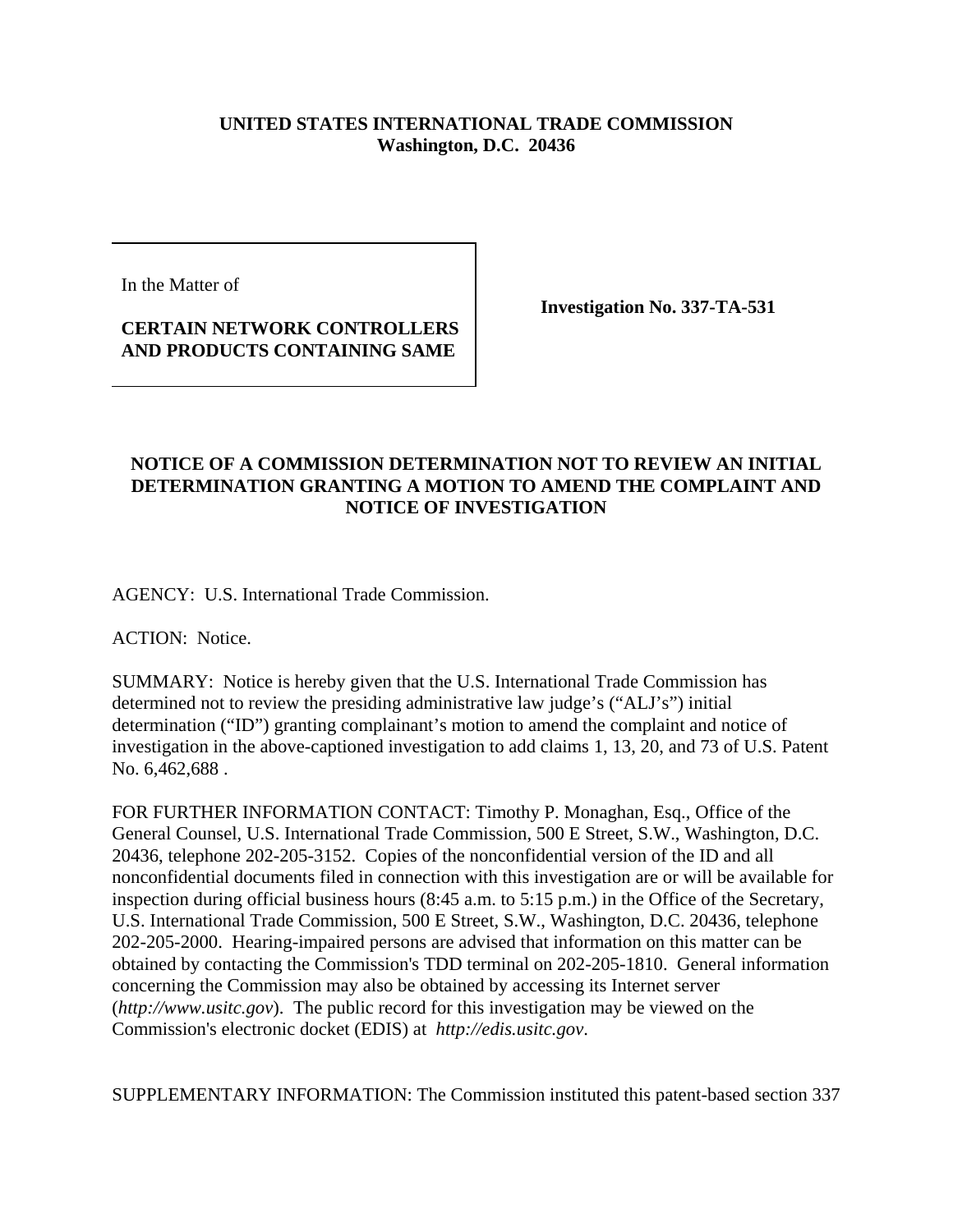## **UNITED STATES INTERNATIONAL TRADE COMMISSION Washington, D.C. 20436**

In the Matter of

## **CERTAIN NETWORK CONTROLLERS AND PRODUCTS CONTAINING SAME**

**Investigation No. 337-TA-531**

## **NOTICE OF A COMMISSION DETERMINATION NOT TO REVIEW AN INITIAL DETERMINATION GRANTING A MOTION TO AMEND THE COMPLAINT AND NOTICE OF INVESTIGATION**

AGENCY: U.S. International Trade Commission.

ACTION: Notice.

SUMMARY: Notice is hereby given that the U.S. International Trade Commission has determined not to review the presiding administrative law judge's ("ALJ's") initial determination ("ID") granting complainant's motion to amend the complaint and notice of investigation in the above-captioned investigation to add claims 1, 13, 20, and 73 of U.S. Patent No. 6,462,688 .

FOR FURTHER INFORMATION CONTACT: Timothy P. Monaghan, Esq., Office of the General Counsel, U.S. International Trade Commission, 500 E Street, S.W., Washington, D.C. 20436, telephone 202-205-3152. Copies of the nonconfidential version of the ID and all nonconfidential documents filed in connection with this investigation are or will be available for inspection during official business hours (8:45 a.m. to 5:15 p.m.) in the Office of the Secretary, U.S. International Trade Commission, 500 E Street, S.W., Washington, D.C. 20436, telephone 202-205-2000. Hearing-impaired persons are advised that information on this matter can be obtained by contacting the Commission's TDD terminal on 202-205-1810. General information concerning the Commission may also be obtained by accessing its Internet server (*http://www.usitc.gov*). The public record for this investigation may be viewed on the Commission's electronic docket (EDIS) at *http://edis.usitc.gov*.

SUPPLEMENTARY INFORMATION: The Commission instituted this patent-based section 337